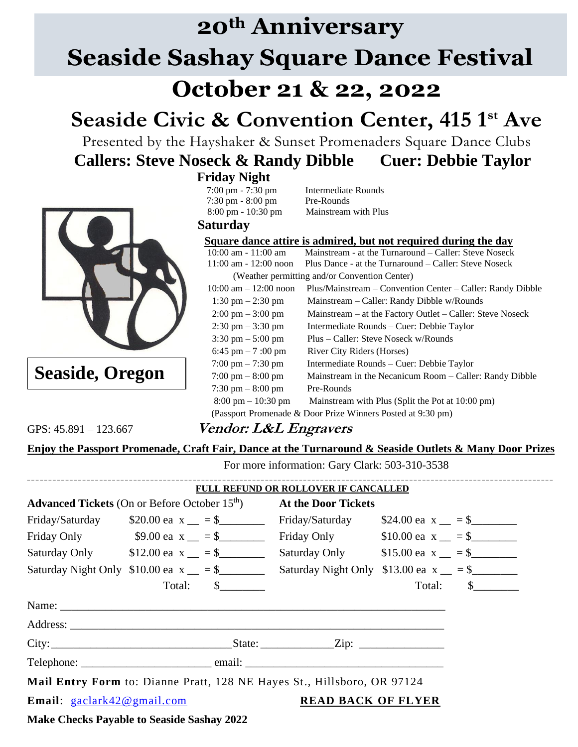# **20th Anniversary Seaside Sashay Square Dance Festival October 21 & 22, 2022**

## **Seaside Civic & Convention Center, 415 1st Ave**

Presented by the Hayshaker & Sunset Promenaders Square Dance Clubs **Callers: Steve Noseck & Randy Dibble Cuer: Debbie Taylor**

### **Friday Night**



**Seaside, Oregon**

 7:00 pm - 7:30 pm Intermediate Rounds 7:30 pm - 8:00 pm Pre-Rounds 8:00 pm - 10:30 pm Mainstream with Plus

#### **Saturday**

#### **Square dance attire is admired, but not required during the day**

 10:00 am - 11:00 am Mainstream - at the Turnaround – Caller: Steve Noseck 11:00 am - 12:00 noon Plus Dance - at the Turnaround – Caller: Steve Noseck (Weather permitting and/or Convention Center) 10:00 am – 12:00 noon Plus/Mainstream – Convention Center – Caller: Randy Dibble 1:30 pm – 2:30 pm Mainstream – Caller: Randy Dibble w/Rounds 2:00 pm – 3:00 pm Mainstream – at the Factory Outlet – Caller: Steve Noseck 2:30 pm – 3:30 pm Intermediate Rounds – Cuer: Debbie Taylor 3:30 pm – 5:00 pm Plus – Caller: Steve Noseck w/Rounds 6:45 pm  $-7$ :00 pm River City Riders (Horses) 7:00 pm – 7:30 pm Intermediate Rounds – Cuer: Debbie Taylor 7:00 pm – 8:00 pm Mainstream in the Necanicum Room – Caller: Randy Dibble  $7:30 \text{ pm} - 8:00 \text{ pm}$  Pre-Rounds 8:00 pm – 10:30 pm Mainstream with Plus (Split the Pot at 10:00 pm) (Passport Promenade & Door Prize Winners Posted at 9:30 pm)

### GPS: 45.891 – 123.667 **Vendor: L&L Engravers**

#### **Enjoy the Passport Promenade, Craft Fair, Dance at the Turnaround & Seaside Outlets & Many Door Prizes**

For more information: Gary Clark: 503-310-3538

|                                                                         |                                         | FULL REFUND OR ROLLOVER IF CANCALLED          |        |               |  |
|-------------------------------------------------------------------------|-----------------------------------------|-----------------------------------------------|--------|---------------|--|
| <b>Advanced Tickets</b> (On or Before October 15 <sup>th</sup> )        |                                         | <b>At the Door Tickets</b>                    |        |               |  |
|                                                                         | Friday/Saturday $$20.00$ ea x $= $$     | Friday/Saturday $$24.00$ ea x $= $$           |        |               |  |
|                                                                         | Friday Only $$9.00$ ea x $= $$          | Friday Only $$10.00$ ea $x = $$               |        |               |  |
|                                                                         | Saturday Only $$12.00$ ea $x = $$       | Saturday Only $$15.00$ ea x $= $$             |        |               |  |
|                                                                         | Saturday Night Only $$10.00$ ea x $= $$ | Saturday Night Only $$13.00$ ea x $\_\_$ = \$ |        |               |  |
|                                                                         | Total: \$                               |                                               | Total: | $\mathcal{S}$ |  |
|                                                                         |                                         |                                               |        |               |  |
|                                                                         |                                         |                                               |        |               |  |
|                                                                         |                                         |                                               |        |               |  |
|                                                                         | Telephone: email: email:                |                                               |        |               |  |
| Mail Entry Form to: Dianne Pratt, 128 NE Hayes St., Hillsboro, OR 97124 |                                         |                                               |        |               |  |
| <b>Email:</b> $\text{gaclark42@gmail.com}$                              |                                         | <b>READ BACK OF FLYER</b>                     |        |               |  |

**Make Checks Payable to Seaside Sashay 2022**